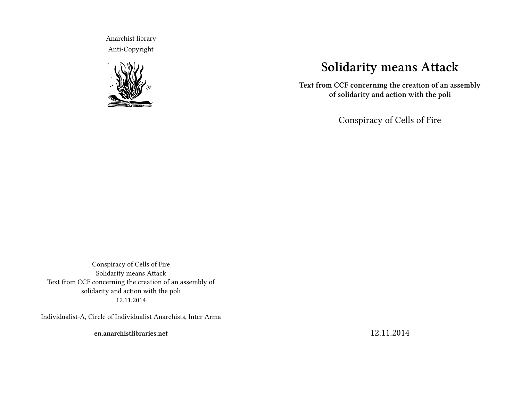Anarchist library Anti-Copyright



# **Solidarity means Attack**

**Text from CCF concerning the creation of an assembly of solidarity and action with the poli**

Conspiracy of Cells of Fire

Conspiracy of Cells of Fire Solidarity means Attack Text from CCF concerning the creation of an assembly of solidarity and action with the poli 12.11.2014

Individualist-A, Circle of Individualist Anarchists, Inter Arma

**en.anarchistlibraries.net**

12.11.2014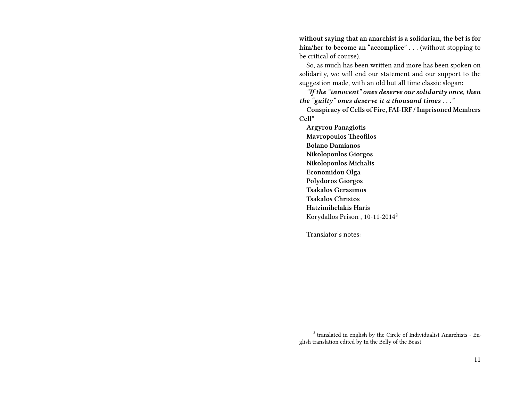**without saying that an anarchist is a solidarian, the bet is for him/her to become an "accomplice" . . .** (without stopping to be critical of course).

So, as much has been written and more has been spoken on solidarity, we will end our statement and our support to the suggestion made, with an old but all time classic slogan:

*"If the "innocent" ones deserve our solidarity once, then the "guilty" ones deserve it a thousand times . . ."*

**Conspiracy of Cells of Fire, FAI-IRF / Imprisoned Members Cell\***

**Argyrou Panagiotis Mavropoulos Theofilos Bolano Damianos Nikolopoulos Giorgos Nikolopoulos Michalis Economidou Olga Polydoros Giorgos Tsakalos Gerasimos Tsakalos Christos Hatzimihelakis Haris** Korydallos Prison , 10-11-2014<sup>2</sup>

Translator's notes:

<sup>&</sup>lt;sup>2</sup> translated in english by the Circle of Individualist Anarchists - English translation edited by In the Belly of the Beast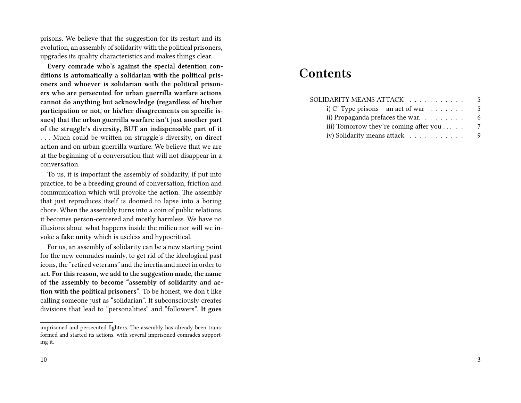prisons. We believe that the suggestion for its restart and its evolution, an assembly of solidarity with the political prisoners, upgrades its quality characteristics and makes things clear.

**Every comrade who's against the special detention conditions is automatically a solidarian with the political prisoners and whoever is solidarian with the political prisoners who are persecuted for urban guerrilla warfare actions cannot do anything but acknowledge (regardless of his/her participation or not, or his/her disagreements on specific issues) that the urban guerrilla warfare isn't just another part of the struggle's diversity, BUT an indispensable part of it . . .** Much could be written on struggle's diversity, on direct action and on urban guerrilla warfare. We believe that we are at the beginning of a conversation that will not disappear in a conversation.

To us, it is important the assembly of solidarity, if put into practice, to be a breeding ground of conversation, friction and communication which will provoke the **action**. The assembly that just reproduces itself is doomed to lapse into a boring chore. When the assembly turns into a coin of public relations, it becomes person-centered and mostly harmless. We have no illusions about what happens inside the milieu nor will we invoke a **fake unity** which is useless and hypocritical.

For us, an assembly of solidarity can be a new starting point for the new comrades mainly, to get rid of the ideological past icons, the "retired veterans" and the inertia and meet in order to act. **For this reason, we add to the suggestion made, the name of the assembly to become "assembly of solidarity and action with the political prisoners".** To be honest, we don't like calling someone just as "solidarian". It subconsciously creates divisions that lead to "personalities" and "followers". **It goes**

## 10

## **Contents**

| SOLIDARITY MEANS ATTACK   .                      | 5 |
|--------------------------------------------------|---|
| i) C' Type prisons – an act of war $\dots \dots$ | 5 |
| ii) Propaganda prefaces the war. $\ldots$        | 6 |
| iii) Tomorrow they're coming after you $\dots$ . | 7 |
| iv) Solidarity means attack                      | 9 |

imprisoned and persecuted fighters. The assembly has already been transformed and started its actions, with several imprisoned comrades supporting it.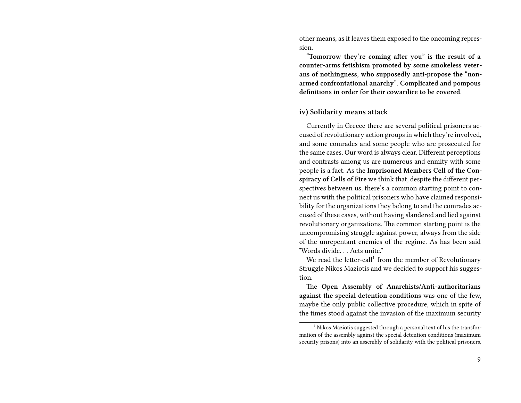other means, as it leaves them exposed to the oncoming repression.

**"Tomorrow they're coming after you" is the result of a counter-arms fetishism promoted by some smokeless veterans of nothingness, who supposedly anti-propose the "nonarmed confrontational anarchy". Complicated and pompous definitions in order for their cowardice to be covered.**

#### **iv) Solidarity means attack**

Currently in Greece there are several political prisoners accused of revolutionary action groups in which they're involved, and some comrades and some people who are prosecuted for the same cases. Our word is always clear. Different perceptions and contrasts among us are numerous and enmity with some people is a fact. As the **Imprisoned Members Cell of the Conspiracy of Cells of Fire** we think that, despite the different perspectives between us, there's a common starting point to connect us with the political prisoners who have claimed responsibility for the organizations they belong to and the comrades accused of these cases, without having slandered and lied against revolutionary organizations. The common starting point is the uncompromising struggle against power, always from the side of the unrepentant enemies of the regime. As has been said "Words divide. . . Acts unite."

We read the letter-call<sup>1</sup> from the member of Revolutionary Struggle Nikos Maziotis and we decided to support his suggestion.

The **Open Assembly of Anarchists/Anti-authoritarians against the special detention conditions** was one of the few, maybe the only public collective procedure, which in spite of the times stood against the invasion of the maximum security

 $1$  Nikos Maziotis suggested through a personal text of his the transformation of the assembly against the special detention conditions (maximum security prisons) into an assembly of solidarity with the political prisoners,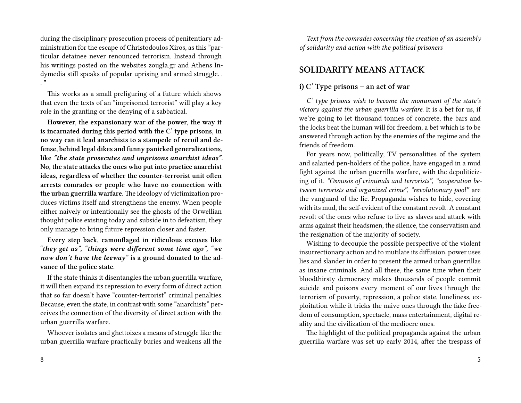during the disciplinary prosecution process of penitentiary administration for the escape of Christodoulos Xiros, as this "particular detainee never renounced terrorism. Instead through his writings posted on the websites zougla.gr and Athens Indymedia still speaks of popular uprising and armed struggle. . ."

This works as a small prefiguring of a future which shows that even the texts of an "imprisoned terrorist" will play a key role in the granting or the denying of a sabbatical.

**However, the expansionary war of the power, the way it is incarnated during this period with the C' type prisons, in no way can it lead anarchists to a stampede of recoil and defense, behind legal dikes and funny panicked generalizations, like** *"the state prosecutes and imprisons anarchist ideas".* **No, the state attacks the ones who put into practice anarchist ideas, regardless of whether the counter-terrorist unit often arrests comrades or people who have no connection with the urban guerrilla warfare.** The ideology of victimization produces victims itself and strengthens the enemy. When people either naively or intentionally see the ghosts of the Orwellian thought police existing today and subside in to defeatism, they only manage to bring future repression closer and faster.

**Every step back, camouflaged in ridiculous excuses like** *"they get us", "things were different some time ago", "we now don't have the leeway"* **is a ground donated to the advance of the police state.**

If the state thinks it disentangles the urban guerrilla warfare, it will then expand its repression to every form of direct action that so far doesn't have "counter-terrorist" criminal penalties. Because, even the state, in contrast with some "anarchists" perceives the connection of the diversity of direct action with the urban guerrilla warfare.

Whoever isolates and ghettoizes a means of struggle like the urban guerrilla warfare practically buries and weakens all the

*Text from the comrades concerning the creation of an assembly of solidarity and action with the political prisoners*

## **SOLIDARITY MEANS ATTACK**

## **i) C' Type prisons – an act of war**

*C' type prisons wish to become the monument of the state's victory against the urban guerrilla warfare.* It is a bet for us, if we're going to let thousand tonnes of concrete, the bars and the locks beat the human will for freedom, a bet which is to be answered through action by the enemies of the regime and the friends of freedom.

For years now, politically, TV personalities of the system and salaried pen-holders of the police, have engaged in a mud fight against the urban guerrilla warfare, with the depoliticizing of it. *"Osmosis of criminals and terrorists"*, *"cooperation between terrorists and organized crime"*, *"revolutionary pool"* are the vanguard of the lie. Propaganda wishes to hide, covering with its mud, the self-evident of the constant revolt. A constant revolt of the ones who refuse to live as slaves and attack with arms against their headsmen, the silence, the conservatism and the resignation of the majority of society.

Wishing to decouple the possible perspective of the violent insurrectionary action and to mutilate its diffusion, power uses lies and slander in order to present the armed urban guerrillas as insane criminals. And all these, the same time when their bloodthirsty democracy makes thousands of people commit suicide and poisons every moment of our lives through the terrorism of poverty, repression, a police state, loneliness, exploitation while it tricks the naive ones through the fake freedom of consumption, spectacle, mass entertainment, digital reality and the civilization of the mediocre ones.

The highlight of the political propaganda against the urban guerrilla warfare was set up early 2014, after the trespass of